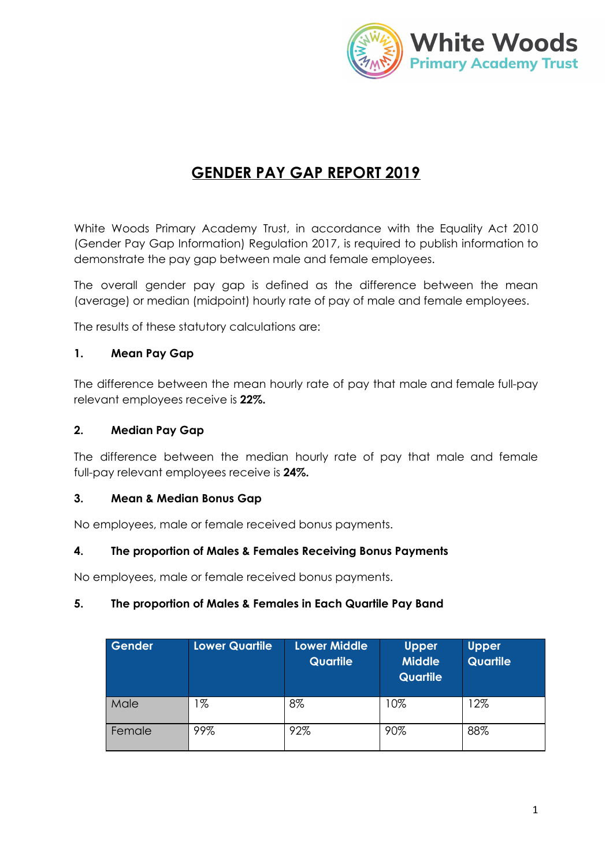

# **GENDER PAY GAP REPORT 2019**

White Woods Primary Academy Trust, in accordance with the Equality Act 2010 (Gender Pay Gap Information) Regulation 2017, is required to publish information to demonstrate the pay gap between male and female employees.

The overall gender pay gap is defined as the difference between the mean (average) or median (midpoint) hourly rate of pay of male and female employees.

The results of these statutory calculations are:

# **1. Mean Pay Gap**

The difference between the mean hourly rate of pay that male and female full-pay relevant employees receive is **22%.**

## **2. Median Pay Gap**

The difference between the median hourly rate of pay that male and female full-pay relevant employees receive is **24%.**

#### **3. Mean & Median Bonus Gap**

No employees, male or female received bonus payments.

# **4. The proportion of Males & Females Receiving Bonus Payments**

No employees, male or female received bonus payments.

#### **5. The proportion of Males & Females in Each Quartile Pay Band**

| Gender | Lower Quartile | <b>Lower Middle</b><br><b>Quartile</b> | <b>Upper</b><br><b>Middle</b><br><b>Quartile</b> | <b>Upper</b><br>Quartile |
|--------|----------------|----------------------------------------|--------------------------------------------------|--------------------------|
| Male   | %              | 8%                                     | 10%                                              | 12%                      |
| Female | 99%            | 92%                                    | 90%                                              | 88%                      |